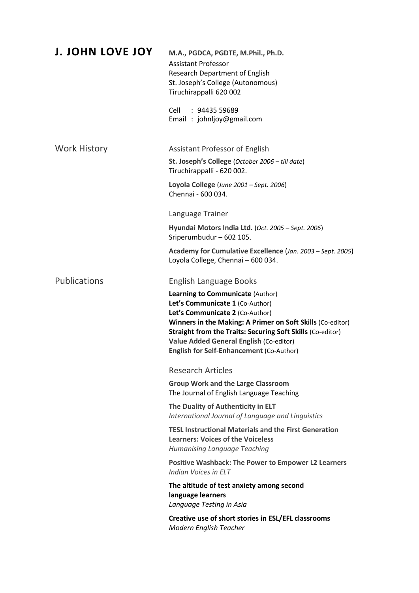| <b>J. JOHN LOVE JOY</b> | M.A., PGDCA, PGDTE, M.Phil., Ph.D.<br><b>Assistant Professor</b><br><b>Research Department of English</b><br>St. Joseph's College (Autonomous)<br>Tiruchirappalli 620 002                                                                                                                                                               |
|-------------------------|-----------------------------------------------------------------------------------------------------------------------------------------------------------------------------------------------------------------------------------------------------------------------------------------------------------------------------------------|
|                         | Cell : 94435 59689<br>Email: johnljoy@gmail.com                                                                                                                                                                                                                                                                                         |
| <b>Work History</b>     | Assistant Professor of English                                                                                                                                                                                                                                                                                                          |
|                         | St. Joseph's College (October 2006 - till date)<br>Tiruchirappalli - 620 002.                                                                                                                                                                                                                                                           |
|                         | Loyola College (June 2001 - Sept. 2006)<br>Chennai - 600 034.                                                                                                                                                                                                                                                                           |
|                         | Language Trainer                                                                                                                                                                                                                                                                                                                        |
|                         | Hyundai Motors India Ltd. (Oct. 2005 - Sept. 2006)<br>Sriperumbudur - 602 105.                                                                                                                                                                                                                                                          |
|                         | Academy for Cumulative Excellence (Jan. 2003 - Sept. 2005)<br>Loyola College, Chennai - 600 034.                                                                                                                                                                                                                                        |
| <b>Publications</b>     | English Language Books                                                                                                                                                                                                                                                                                                                  |
|                         | Learning to Communicate (Author)<br>Let's Communicate 1 (Co-Author)<br>Let's Communicate 2 (Co-Author)<br>Winners in the Making: A Primer on Soft Skills (Co-editor)<br><b>Straight from the Traits: Securing Soft Skills (Co-editor)</b><br>Value Added General English (Co-editor)<br><b>English for Self-Enhancement (Co-Author)</b> |
|                         | <b>Research Articles</b>                                                                                                                                                                                                                                                                                                                |
|                         | <b>Group Work and the Large Classroom</b><br>The Journal of English Language Teaching                                                                                                                                                                                                                                                   |
|                         | The Duality of Authenticity in ELT<br>International Journal of Language and Linguistics                                                                                                                                                                                                                                                 |
|                         | <b>TESL Instructional Materials and the First Generation</b><br><b>Learners: Voices of the Voiceless</b><br>Humanising Language Teaching                                                                                                                                                                                                |
|                         | <b>Positive Washback: The Power to Empower L2 Learners</b><br>Indian Voices in ELT                                                                                                                                                                                                                                                      |
|                         | The altitude of test anxiety among second<br>language learners<br>Language Testing in Asia                                                                                                                                                                                                                                              |
|                         | Creative use of short stories in ESL/EFL classrooms<br>Modern English Teacher                                                                                                                                                                                                                                                           |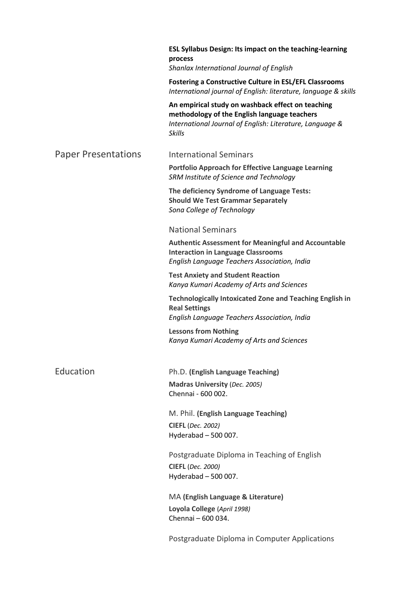|                            | <b>ESL Syllabus Design: Its impact on the teaching-learning</b><br>process<br>Shanlax International Journal of English                                                  |
|----------------------------|-------------------------------------------------------------------------------------------------------------------------------------------------------------------------|
|                            | <b>Fostering a Constructive Culture in ESL/EFL Classrooms</b><br>International journal of English: literature, language & skills                                        |
|                            | An empirical study on washback effect on teaching<br>methodology of the English language teachers<br>International Journal of English: Literature, Language &<br>Skills |
| <b>Paper Presentations</b> | <b>International Seminars</b>                                                                                                                                           |
|                            | Portfolio Approach for Effective Language Learning<br>SRM Institute of Science and Technology                                                                           |
|                            | The deficiency Syndrome of Language Tests:<br><b>Should We Test Grammar Separately</b><br>Sona College of Technology                                                    |
|                            | <b>National Seminars</b>                                                                                                                                                |
|                            | <b>Authentic Assessment for Meaningful and Accountable</b><br><b>Interaction in Language Classrooms</b><br>English Language Teachers Association, India                 |
|                            | <b>Test Anxiety and Student Reaction</b><br>Kanya Kumari Academy of Arts and Sciences                                                                                   |
|                            | <b>Technologically Intoxicated Zone and Teaching English in</b><br><b>Real Settings</b><br>English Language Teachers Association, India                                 |
|                            | <b>Lessons from Nothing</b><br>Kanya Kumari Academy of Arts and Sciences                                                                                                |
| Education                  | Ph.D. (English Language Teaching)                                                                                                                                       |
|                            | Madras University (Dec. 2005)<br>Chennai - 600 002.                                                                                                                     |
|                            | M. Phil. (English Language Teaching)                                                                                                                                    |
|                            | <b>CIEFL</b> (Dec. 2002)<br>Hyderabad - 500 007.                                                                                                                        |
|                            | Postgraduate Diploma in Teaching of English                                                                                                                             |
|                            | <b>CIEFL</b> (Dec. 2000)<br>Hyderabad $-500007$ .                                                                                                                       |
|                            | MA (English Language & Literature)                                                                                                                                      |
|                            | Loyola College (April 1998)<br>Chennai - 600 034.                                                                                                                       |
|                            | Postgraduate Diploma in Computer Applications                                                                                                                           |